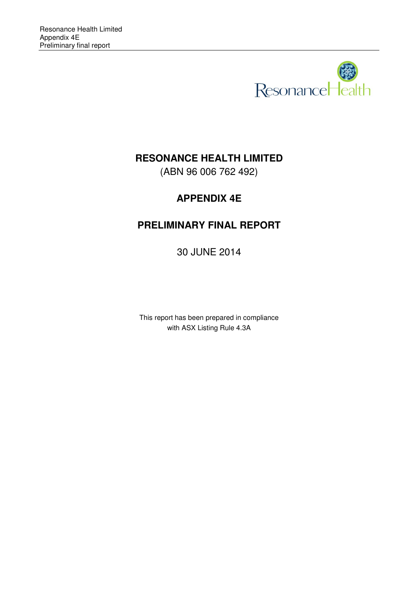

# **RESONANCE HEALTH LIMITED**

(ABN 96 006 762 492)

# **APPENDIX 4E**

# **PRELIMINARY FINAL REPORT**

30 JUNE 2014

This report has been prepared in compliance with ASX Listing Rule 4.3A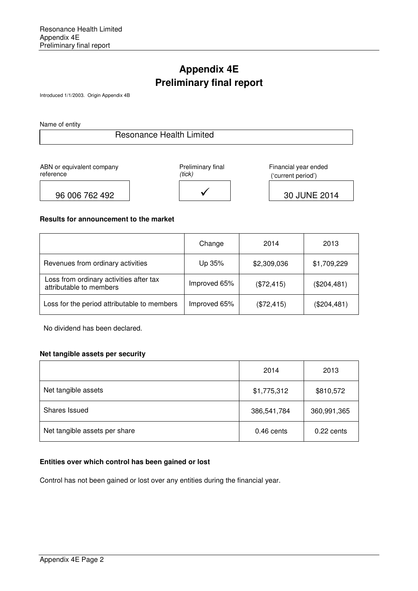# **Appendix 4E Preliminary final report**

Introduced 1/1/2003. Origin Appendix 4B

Name of entity

# Resonance Health Limited

ABN or equivalent company reference



 Financial year ended ('current period')

96 006 762 492 | √

30 JUNE 2014

#### **Results for announcement to the market**

|                                                                    | Change       | 2014        | 2013          |
|--------------------------------------------------------------------|--------------|-------------|---------------|
| Revenues from ordinary activities                                  | Up 35%       | \$2,309,036 | \$1,709,229   |
| Loss from ordinary activities after tax<br>attributable to members | Improved 65% | (\$72,415)  | $(\$204,481)$ |
| Loss for the period attributable to members                        | Improved 65% | (\$72,415)  | (\$204,481)   |

No dividend has been declared.

### **Net tangible assets per security**

|                               | 2014         | 2013         |
|-------------------------------|--------------|--------------|
| Net tangible assets           | \$1,775,312  | \$810,572    |
| Shares Issued                 | 386,541,784  | 360,991,365  |
| Net tangible assets per share | $0.46$ cents | $0.22$ cents |

## **Entities over which control has been gained or lost**

Control has not been gained or lost over any entities during the financial year.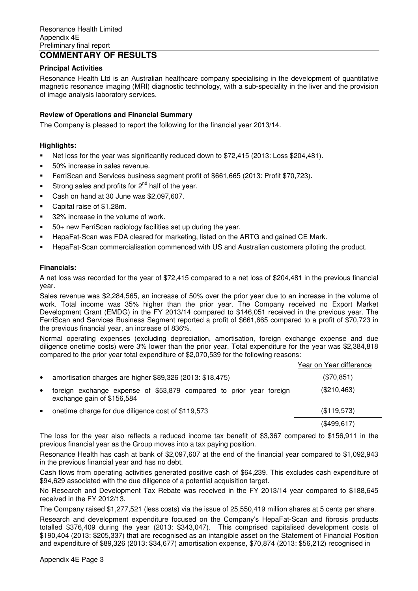## **Principal Activities**

Resonance Health Ltd is an Australian healthcare company specialising in the development of quantitative magnetic resonance imaging (MRI) diagnostic technology, with a sub-speciality in the liver and the provision of image analysis laboratory services.

## **Review of Operations and Financial Summary**

The Company is pleased to report the following for the financial year 2013/14.

## **Highlights:**

- -Net loss for the year was significantly reduced down to \$72,415 (2013: Loss \$204,481).
- -50% increase in sales revenue.
- -FerriScan and Services business segment profit of \$661,665 (2013: Profit \$70,723).
- -Strong sales and profits for  $2<sup>nd</sup>$  half of the year.
- -Cash on hand at 30 June was \$2,097,607.
- -Capital raise of \$1.28m.
- -32% increase in the volume of work.
- -50+ new FerriScan radiology facilities set up during the year.
- -HepaFat-Scan was FDA cleared for marketing, listed on the ARTG and gained CE Mark.
- -HepaFat-Scan commercialisation commenced with US and Australian customers piloting the product.

### **Financials:**

A net loss was recorded for the year of \$72,415 compared to a net loss of \$204,481 in the previous financial year.

Sales revenue was \$2,284,565, an increase of 50% over the prior year due to an increase in the volume of work. Total income was 35% higher than the prior year. The Company received no Export Market Development Grant (EMDG) in the FY 2013/14 compared to \$146,051 received in the previous year. The FerriScan and Services Business Segment reported a profit of \$661,665 compared to a profit of \$70,723 in the previous financial year, an increase of 836%.

Normal operating expenses (excluding depreciation, amortisation, foreign exchange expense and due diligence onetime costs) were 3% lower than the prior year. Total expenditure for the year was \$2,384,818 compared to the prior year total expenditure of \$2,070,539 for the following reasons:

|           |                                                                                                   | Year on Year difference |
|-----------|---------------------------------------------------------------------------------------------------|-------------------------|
| $\bullet$ | amortisation charges are higher \$89,326 (2013: \$18,475)                                         | (\$70,851)              |
| $\bullet$ | foreign exchange expense of \$53,879 compared to prior year foreign<br>exchange gain of \$156,584 | (\$210,463)             |
| $\bullet$ | onetime charge for due diligence cost of \$119,573                                                | (\$119,573)             |
|           |                                                                                                   | (\$499,617)             |

The loss for the year also reflects a reduced income tax benefit of \$3,367 compared to \$156,911 in the previous financial year as the Group moves into a tax paying position.

Resonance Health has cash at bank of \$2,097,607 at the end of the financial year compared to \$1,092,943 in the previous financial year and has no debt.

Cash flows from operating activities generated positive cash of \$64,239. This excludes cash expenditure of \$94,629 associated with the due diligence of a potential acquisition target.

No Research and Development Tax Rebate was received in the FY 2013/14 year compared to \$188,645 received in the FY 2012/13.

The Company raised \$1,277,521 (less costs) via the issue of 25,550,419 million shares at 5 cents per share.

Research and development expenditure focused on the Company's HepaFat-Scan and fibrosis products totalled \$376,409 during the year (2013: \$343,047). This comprised capitalised development costs of \$190,404 (2013: \$205,337) that are recognised as an intangible asset on the Statement of Financial Position and expenditure of \$89,326 (2013: \$34,677) amortisation expense, \$70,874 (2013: \$56,212) recognised in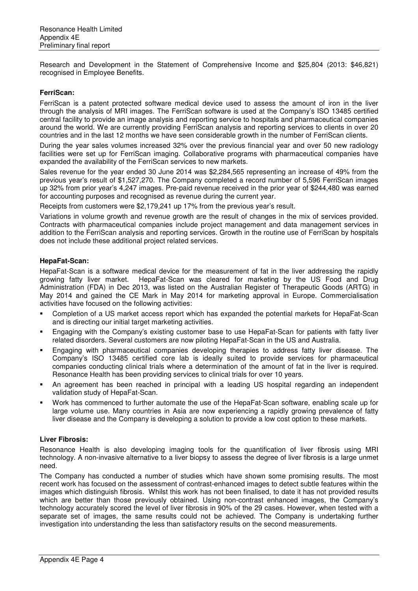Research and Development in the Statement of Comprehensive Income and \$25,804 (2013: \$46,821) recognised in Employee Benefits.

### **FerriScan:**

FerriScan is a patent protected software medical device used to assess the amount of iron in the liver through the analysis of MRI images. The FerriScan software is used at the Company's ISO 13485 certified central facility to provide an image analysis and reporting service to hospitals and pharmaceutical companies around the world. We are currently providing FerriScan analysis and reporting services to clients in over 20 countries and in the last 12 months we have seen considerable growth in the number of FerriScan clients.

During the year sales volumes increased 32% over the previous financial year and over 50 new radiology facilities were set up for FerriScan imaging. Collaborative programs with pharmaceutical companies have expanded the availability of the FerriScan services to new markets.

Sales revenue for the year ended 30 June 2014 was \$2,284,565 representing an increase of 49% from the previous year's result of \$1,527,270. The Company completed a record number of 5,596 FerriScan images up 32% from prior year's 4,247 images. Pre-paid revenue received in the prior year of \$244,480 was earned for accounting purposes and recognised as revenue during the current year.

Receipts from customers were \$2,179,241 up 17% from the previous year's result.

Variations in volume growth and revenue growth are the result of changes in the mix of services provided. Contracts with pharmaceutical companies include project management and data management services in addition to the FerriScan analysis and reporting services. Growth in the routine use of FerriScan by hospitals does not include these additional project related services.

# **HepaFat-Scan:**

HepaFat-Scan is a software medical device for the measurement of fat in the liver addressing the rapidly growing fatty liver market. HepaFat-Scan was cleared for marketing by the US Food and Drug Administration (FDA) in Dec 2013, was listed on the Australian Register of Therapeutic Goods (ARTG) in May 2014 and gained the CE Mark in May 2014 for marketing approval in Europe. Commercialisation activities have focused on the following activities:

- - Completion of a US market access report which has expanded the potential markets for HepaFat-Scan and is directing our initial target marketing activities.
- - Engaging with the Company's existing customer base to use HepaFat-Scan for patients with fatty liver related disorders. Several customers are now piloting HepaFat-Scan in the US and Australia.
- - Engaging with pharmaceutical companies developing therapies to address fatty liver disease. The Company's ISO 13485 certified core lab is ideally suited to provide services for pharmaceutical companies conducting clinical trials where a determination of the amount of fat in the liver is required. Resonance Health has been providing services to clinical trials for over 10 years.
- - An agreement has been reached in principal with a leading US hospital regarding an independent validation study of HepaFat-Scan.
- - Work has commenced to further automate the use of the HepaFat-Scan software, enabling scale up for large volume use. Many countries in Asia are now experiencing a rapidly growing prevalence of fatty liver disease and the Company is developing a solution to provide a low cost option to these markets.

### **Liver Fibrosis:**

Resonance Health is also developing imaging tools for the quantification of liver fibrosis using MRI technology. A non-invasive alternative to a liver biopsy to assess the degree of liver fibrosis is a large unmet need.

The Company has conducted a number of studies which have shown some promising results. The most recent work has focused on the assessment of contrast-enhanced images to detect subtle features within the images which distinguish fibrosis. Whilst this work has not been finalised, to date it has not provided results which are better than those previously obtained. Using non-contrast enhanced images, the Company's technology accurately scored the level of liver fibrosis in 90% of the 29 cases. However, when tested with a separate set of images, the same results could not be achieved. The Company is undertaking further investigation into understanding the less than satisfactory results on the second measurements.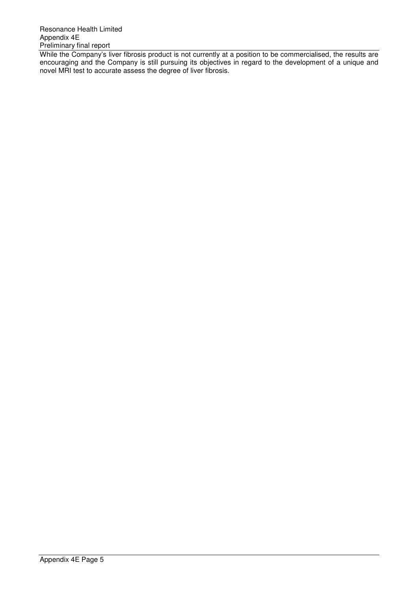While the Company's liver fibrosis product is not currently at a position to be commercialised, the results are encouraging and the Company is still pursuing its objectives in regard to the development of a unique and novel MRI test to accurate assess the degree of liver fibrosis.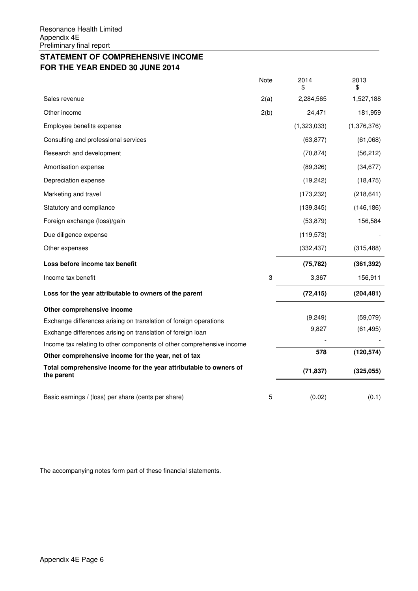# **STATEMENT OF COMPREHENSIVE INCOME FOR THE YEAR ENDED 30 JUNE 2014**

|                                                                                 | Note | 2014<br>\$  | 2013<br>\$  |
|---------------------------------------------------------------------------------|------|-------------|-------------|
| Sales revenue                                                                   | 2(a) | 2,284,565   | 1,527,188   |
| Other income                                                                    | 2(b) | 24,471      | 181,959     |
| Employee benefits expense                                                       |      | (1,323,033) | (1,376,376) |
| Consulting and professional services                                            |      | (63, 877)   | (61,068)    |
| Research and development                                                        |      | (70, 874)   | (56, 212)   |
| Amortisation expense                                                            |      | (89, 326)   | (34, 677)   |
| Depreciation expense                                                            |      | (19, 242)   | (18, 475)   |
| Marketing and travel                                                            |      | (173, 232)  | (218, 641)  |
| Statutory and compliance                                                        |      | (139, 345)  | (146, 186)  |
| Foreign exchange (loss)/gain                                                    |      | (53, 879)   | 156,584     |
| Due diligence expense                                                           |      | (119, 573)  |             |
| Other expenses                                                                  |      | (332, 437)  | (315, 488)  |
| Loss before income tax benefit                                                  |      | (75, 782)   | (361, 392)  |
| Income tax benefit                                                              | 3    | 3,367       | 156,911     |
| Loss for the year attributable to owners of the parent                          |      | (72, 415)   | (204, 481)  |
| Other comprehensive income                                                      |      |             |             |
| Exchange differences arising on translation of foreign operations               |      | (9, 249)    | (59,079)    |
| Exchange differences arising on translation of foreign loan                     |      | 9,827       | (61, 495)   |
| Income tax relating to other components of other comprehensive income           |      |             |             |
| Other comprehensive income for the year, net of tax                             |      | 578         | (120, 574)  |
| Total comprehensive income for the year attributable to owners of<br>the parent |      | (71, 837)   | (325, 055)  |
|                                                                                 |      |             |             |
| Basic earnings / (loss) per share (cents per share)                             | 5    | (0.02)      | (0.1)       |

The accompanying notes form part of these financial statements.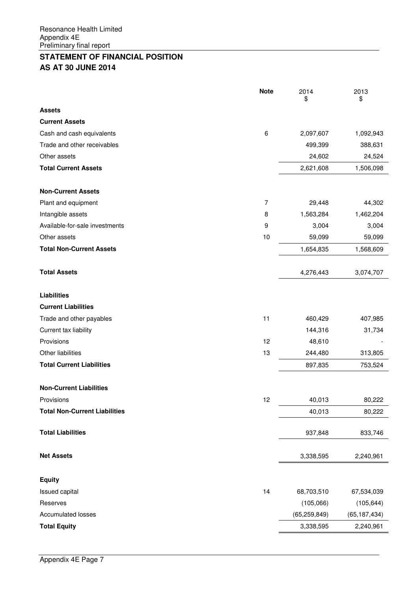# **STATEMENT OF FINANCIAL POSITION AS AT 30 JUNE 2014**

|                                      | <b>Note</b> | 2014<br>\$     | 2013<br>\$     |
|--------------------------------------|-------------|----------------|----------------|
| <b>Assets</b>                        |             |                |                |
| <b>Current Assets</b>                |             |                |                |
| Cash and cash equivalents            | 6           | 2,097,607      | 1,092,943      |
| Trade and other receivables          |             | 499,399        | 388,631        |
| Other assets                         |             | 24,602         | 24,524         |
| <b>Total Current Assets</b>          |             | 2,621,608      | 1,506,098      |
|                                      |             |                |                |
| <b>Non-Current Assets</b>            |             |                |                |
| Plant and equipment                  | 7           | 29,448         | 44,302         |
| Intangible assets                    | 8           | 1,563,284      | 1,462,204      |
| Available-for-sale investments       | 9           | 3,004          | 3,004          |
| Other assets                         | 10          | 59,099         | 59,099         |
| <b>Total Non-Current Assets</b>      |             | 1,654,835      | 1,568,609      |
|                                      |             |                |                |
| <b>Total Assets</b>                  |             | 4,276,443      | 3,074,707      |
|                                      |             |                |                |
| <b>Liabilities</b>                   |             |                |                |
| <b>Current Liabilities</b>           |             |                |                |
| Trade and other payables             | 11          | 460,429        | 407,985        |
| Current tax liability                |             | 144,316        | 31,734         |
| Provisions                           | 12          | 48,610         |                |
| Other liabilities                    | 13          | 244,480        | 313,805        |
| <b>Total Current Liabilities</b>     |             | 897,835        | 753,524        |
| <b>Non-Current Liabilities</b>       |             |                |                |
| Provisions                           | 12          | 40,013         | 80,222         |
| <b>Total Non-Current Liabilities</b> |             | 40,013         | 80,222         |
|                                      |             |                |                |
| <b>Total Liabilities</b>             |             | 937,848        | 833,746        |
|                                      |             |                |                |
| <b>Net Assets</b>                    |             | 3,338,595      | 2,240,961      |
| <b>Equity</b>                        |             |                |                |
| Issued capital                       | 14          | 68,703,510     | 67,534,039     |
| Reserves                             |             | (105,066)      | (105, 644)     |
| <b>Accumulated losses</b>            |             | (65, 259, 849) | (65, 187, 434) |
| <b>Total Equity</b>                  |             | 3,338,595      | 2,240,961      |
|                                      |             |                |                |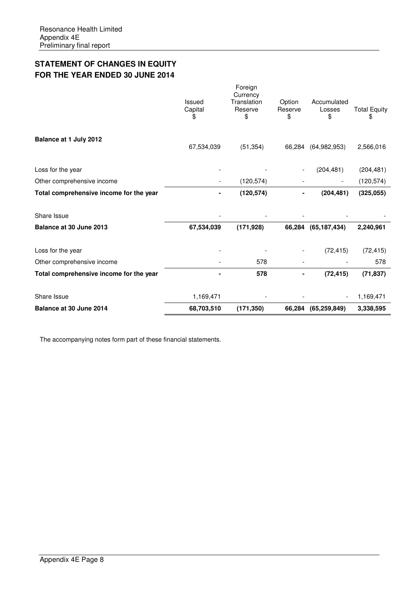# **STATEMENT OF CHANGES IN EQUITY FOR THE YEAR ENDED 30 JUNE 2014**

| Balance at 30 June 2014                 | 68,703,510             | (171, 350)                                          | 66,284                  | (65, 259, 849)              | 3.338,595                 |
|-----------------------------------------|------------------------|-----------------------------------------------------|-------------------------|-----------------------------|---------------------------|
| Share Issue                             | 1,169,471              |                                                     |                         |                             | 1,169,471                 |
| Total comprehensive income for the year |                        | 578                                                 |                         | (72, 415)                   | (71, 837)                 |
| Other comprehensive income              |                        | 578                                                 |                         |                             | 578                       |
| Loss for the year                       |                        |                                                     |                         | (72, 415)                   | (72, 415)                 |
| Balance at 30 June 2013                 | 67,534,039             | (171, 928)                                          | 66,284                  | (65, 187, 434)              | 2,240,961                 |
| Share Issue                             |                        |                                                     |                         |                             |                           |
| Total comprehensive income for the year |                        | (120, 574)                                          |                         | (204, 481)                  | (325,055)                 |
| Other comprehensive income              |                        | (120, 574)                                          |                         |                             | (120, 574)                |
| Loss for the year                       |                        |                                                     |                         | (204, 481)                  | (204, 481)                |
| Balance at 1 July 2012                  | 67,534,039             | (51, 354)                                           | 66,284                  | (64, 982, 953)              | 2,566,016                 |
|                                         | Issued<br>Capital<br>S | Foreign<br>Currency<br>Translation<br>Reserve<br>\$ | Option<br>Reserve<br>\$ | Accumulated<br>Losses<br>\$ | <b>Total Equity</b><br>\$ |

The accompanying notes form part of these financial statements.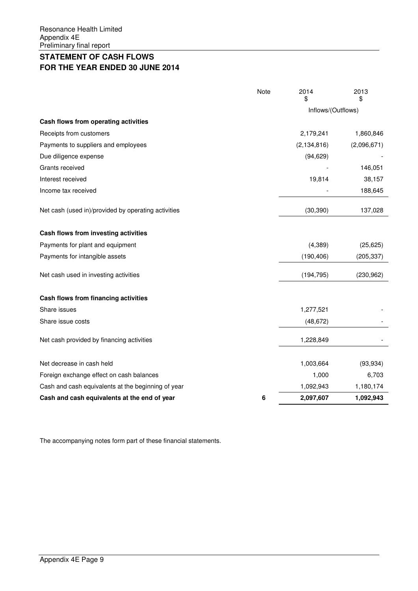# **STATEMENT OF CASH FLOWS FOR THE YEAR ENDED 30 JUNE 2014**

|                                                     | Note | 2014<br>\$         | 2013<br>S   |  |
|-----------------------------------------------------|------|--------------------|-------------|--|
|                                                     |      | Inflows/(Outflows) |             |  |
| Cash flows from operating activities                |      |                    |             |  |
| Receipts from customers                             |      | 2,179,241          | 1,860,846   |  |
| Payments to suppliers and employees                 |      | (2, 134, 816)      | (2,096,671) |  |
| Due diligence expense                               |      | (94, 629)          |             |  |
| Grants received                                     |      |                    | 146,051     |  |
| Interest received                                   |      | 19,814             | 38,157      |  |
| Income tax received                                 |      |                    | 188,645     |  |
| Net cash (used in)/provided by operating activities |      | (30, 390)          | 137,028     |  |
| Cash flows from investing activities                |      |                    |             |  |
| Payments for plant and equipment                    |      | (4, 389)           | (25, 625)   |  |
| Payments for intangible assets                      |      | (190, 406)         | (205, 337)  |  |
| Net cash used in investing activities               |      | (194, 795)         | (230, 962)  |  |
| Cash flows from financing activities                |      |                    |             |  |
| Share issues                                        |      | 1,277,521          |             |  |
| Share issue costs                                   |      | (48, 672)          |             |  |
| Net cash provided by financing activities           |      | 1,228,849          |             |  |
| Net decrease in cash held                           |      | 1,003,664          | (93, 934)   |  |
| Foreign exchange effect on cash balances            |      | 1,000              | 6,703       |  |
| Cash and cash equivalents at the beginning of year  |      | 1,092,943          | 1,180,174   |  |
| Cash and cash equivalents at the end of year        | 6    | 2,097,607          | 1,092,943   |  |

The accompanying notes form part of these financial statements.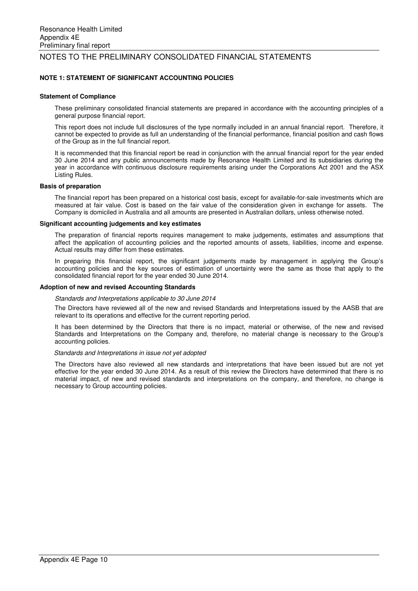#### **NOTE 1: STATEMENT OF SIGNIFICANT ACCOUNTING POLICIES**

#### **Statement of Compliance**

These preliminary consolidated financial statements are prepared in accordance with the accounting principles of a general purpose financial report.

This report does not include full disclosures of the type normally included in an annual financial report. Therefore, it cannot be expected to provide as full an understanding of the financial performance, financial position and cash flows of the Group as in the full financial report.

It is recommended that this financial report be read in conjunction with the annual financial report for the year ended 30 June 2014 and any public announcements made by Resonance Health Limited and its subsidiaries during the year in accordance with continuous disclosure requirements arising under the Corporations Act 2001 and the ASX Listing Rules.

#### **Basis of preparation**

The financial report has been prepared on a historical cost basis, except for available-for-sale investments which are measured at fair value. Cost is based on the fair value of the consideration given in exchange for assets. The Company is domiciled in Australia and all amounts are presented in Australian dollars, unless otherwise noted.

#### **Significant accounting judgements and key estimates**

The preparation of financial reports requires management to make judgements, estimates and assumptions that affect the application of accounting policies and the reported amounts of assets, liabilities, income and expense. Actual results may differ from these estimates.

In preparing this financial report, the significant judgements made by management in applying the Group's accounting policies and the key sources of estimation of uncertainty were the same as those that apply to the consolidated financial report for the year ended 30 June 2014.

#### **Adoption of new and revised Accounting Standards**

#### Standards and Interpretations applicable to 30 June 2014

The Directors have reviewed all of the new and revised Standards and Interpretations issued by the AASB that are relevant to its operations and effective for the current reporting period.

It has been determined by the Directors that there is no impact, material or otherwise, of the new and revised Standards and Interpretations on the Company and, therefore, no material change is necessary to the Group's accounting policies.

#### Standards and Interpretations in issue not yet adopted

The Directors have also reviewed all new standards and interpretations that have been issued but are not yet effective for the year ended 30 June 2014. As a result of this review the Directors have determined that there is no material impact, of new and revised standards and interpretations on the company, and therefore, no change is necessary to Group accounting policies.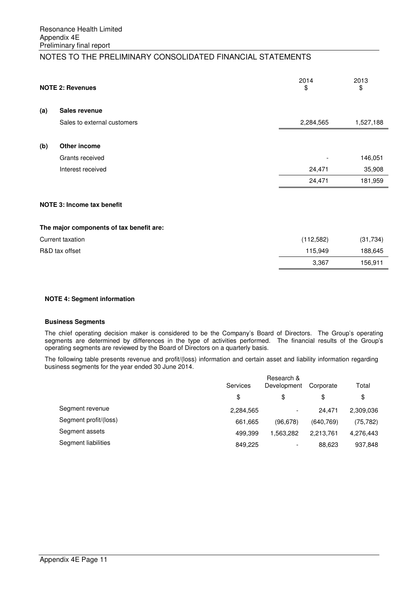|     | <b>NOTE 2: Revenues</b>     | 2014<br>\$ | 2013<br>\$ |
|-----|-----------------------------|------------|------------|
| (a) | Sales revenue               |            |            |
|     | Sales to external customers | 2,284,565  | 1,527,188  |
| (b) | Other income                |            |            |
|     | Grants received             |            | 146,051    |
|     | Interest received           | 24,471     | 35,908     |
|     |                             | 24,471     | 181,959    |
|     |                             |            |            |

## **NOTE 3: Income tax benefit**

#### **The major components of tax benefit are:**

| Current taxation | (112,582) | (31, 734) |
|------------------|-----------|-----------|
| R&D tax offset   | 115.949   | 188,645   |
|                  | 3,367     | 156,911   |

#### **NOTE 4: Segment information**

#### **Business Segments**

The chief operating decision maker is considered to be the Company's Board of Directors. The Group's operating segments are determined by differences in the type of activities performed. The financial results of the Group's operating segments are reviewed by the Board of Directors on a quarterly basis.

The following table presents revenue and profit/(loss) information and certain asset and liability information regarding business segments for the year ended 30 June 2014.

| Research &<br>Services<br>Development |                          |            | Total     |
|---------------------------------------|--------------------------|------------|-----------|
| \$                                    | \$                       | \$         | \$        |
| 2,284,565                             | $\overline{\phantom{a}}$ | 24.471     | 2,309,036 |
| 661,665                               | (96, 678)                | (640, 769) | (75, 782) |
| 499.399                               | 1.563.282                | 2.213.761  | 4,276,443 |
| 849,225                               | $\overline{\phantom{a}}$ | 88,623     | 937,848   |
|                                       |                          |            | Corporate |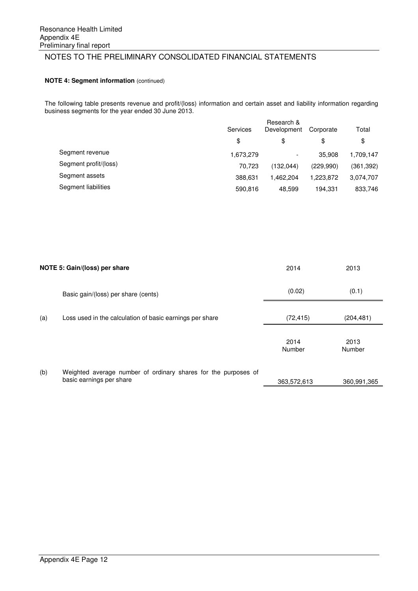### **NOTE 4: Segment information** (continued)

The following table presents revenue and profit/(loss) information and certain asset and liability information regarding business segments for the year ended 30 June 2013.

|                       | Services  | Research &<br>Development |           | Total     |  |
|-----------------------|-----------|---------------------------|-----------|-----------|--|
|                       | \$        | \$                        | \$        | \$        |  |
| Segment revenue       | 1,673,279 | $\overline{\phantom{a}}$  | 35,908    | 1,709,147 |  |
| Segment profit/(loss) | 70.723    | (132.044)                 | (229,990) | (361,392) |  |
| Segment assets        | 388.631   | 1.462.204                 | 1.223.872 | 3,074,707 |  |
| Segment liabilities   | 590,816   | 48,599                    | 194.331   | 833,746   |  |
|                       |           |                           |           |           |  |

|     | NOTE 5: Gain/(loss) per share                                                              | 2014           | 2013           |
|-----|--------------------------------------------------------------------------------------------|----------------|----------------|
|     | Basic gain/(loss) per share (cents)                                                        | (0.02)         | (0.1)          |
| (a) | Loss used in the calculation of basic earnings per share                                   | (72, 415)      | (204, 481)     |
|     |                                                                                            | 2014<br>Number | 2013<br>Number |
| (b) | Weighted average number of ordinary shares for the purposes of<br>basic earnings per share | 363,572,613    | 360,991,365    |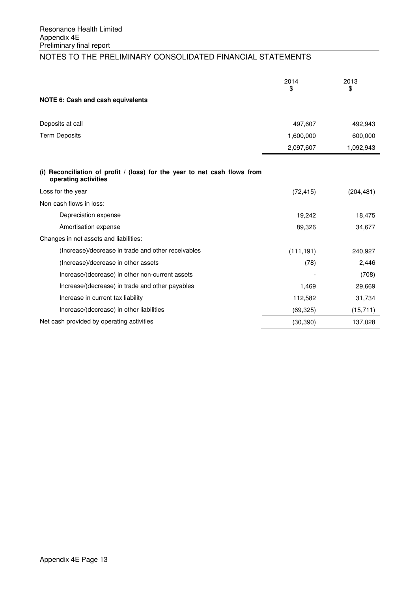|                                                                                                     | 2014<br>\$ | 2013<br>\$ |
|-----------------------------------------------------------------------------------------------------|------------|------------|
| NOTE 6: Cash and cash equivalents                                                                   |            |            |
| Deposits at call                                                                                    | 497,607    | 492,943    |
| <b>Term Deposits</b>                                                                                | 1,600,000  | 600,000    |
|                                                                                                     | 2,097,607  | 1,092,943  |
| (i) Reconciliation of profit $/$ (loss) for the year to net cash flows from<br>operating activities |            |            |
| Loss for the year                                                                                   | (72, 415)  | (204, 481) |
| Non-cash flows in loss:                                                                             |            |            |
| Depreciation expense                                                                                | 19,242     | 18,475     |
| Amortisation expense                                                                                | 89,326     | 34,677     |
| Changes in net assets and liabilities:                                                              |            |            |
| (Increase)/decrease in trade and other receivables                                                  | (111, 191) | 240,927    |
| (Increase)/decrease in other assets                                                                 | (78)       | 2,446      |
| Increase/(decrease) in other non-current assets                                                     |            | (708)      |
| Increase/(decrease) in trade and other payables                                                     | 1,469      | 29,669     |
| Increase in current tax liability                                                                   | 112,582    | 31,734     |
| Increase/(decrease) in other liabilities                                                            | (69, 325)  | (15, 711)  |
| Net cash provided by operating activities                                                           | (30, 390)  | 137,028    |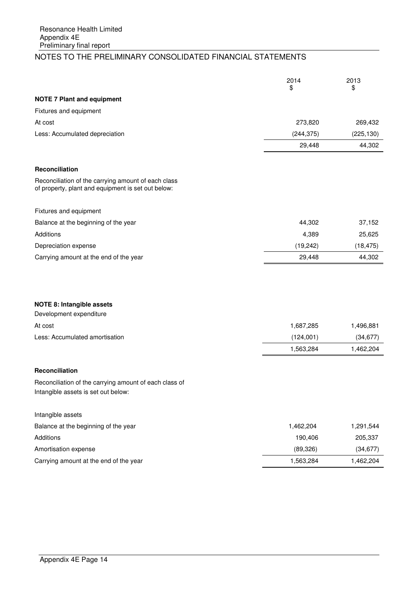|                                                                                                           | 2014<br>\$ | 2013<br>\$ |
|-----------------------------------------------------------------------------------------------------------|------------|------------|
| <b>NOTE 7 Plant and equipment</b>                                                                         |            |            |
| Fixtures and equipment                                                                                    |            |            |
| At cost                                                                                                   | 273,820    | 269,432    |
| Less: Accumulated depreciation                                                                            | (244, 375) | (225, 130) |
|                                                                                                           | 29,448     | 44,302     |
| <b>Reconciliation</b>                                                                                     |            |            |
| Reconciliation of the carrying amount of each class<br>of property, plant and equipment is set out below: |            |            |
| Fixtures and equipment                                                                                    |            |            |
| Balance at the beginning of the year                                                                      | 44,302     | 37,152     |
| Additions                                                                                                 | 4,389      | 25,625     |
| Depreciation expense                                                                                      | (19, 242)  | (18, 475)  |
| Carrying amount at the end of the year                                                                    | 29,448     | 44,302     |
|                                                                                                           |            |            |
| <b>NOTE 8: Intangible assets</b>                                                                          |            |            |
| Development expenditure                                                                                   |            |            |
| At cost                                                                                                   | 1,687,285  | 1,496,881  |
| Less: Accumulated amortisation                                                                            | (124,001)  | (34, 677)  |
|                                                                                                           | 1,563,284  | 1,462,204  |
| <b>Reconciliation</b>                                                                                     |            |            |
| Reconciliation of the carrying amount of each class of<br>Intangible assets is set out below:             |            |            |
| Intangible assets                                                                                         |            |            |
| Balance at the beginning of the year                                                                      | 1,462,204  | 1,291,544  |
| <b>Additions</b>                                                                                          | 190,406    | 205,337    |
| Amortisation expense                                                                                      | (89, 326)  | (34, 677)  |
| Carrying amount at the end of the year                                                                    | 1,563,284  | 1,462,204  |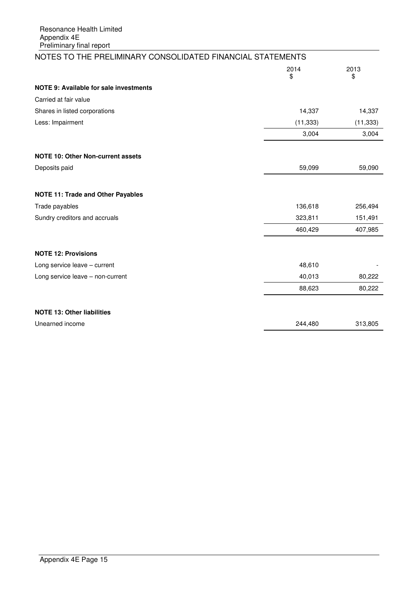| NOTES TO THE PRELIMINARY CONSOLIDATED FINANCIAL STATEMENTS |            |            |
|------------------------------------------------------------|------------|------------|
|                                                            | 2014<br>\$ | 2013<br>\$ |
| <b>NOTE 9: Available for sale investments</b>              |            |            |
| Carried at fair value                                      |            |            |
| Shares in listed corporations                              | 14,337     | 14,337     |
| Less: Impairment                                           | (11, 333)  | (11, 333)  |
|                                                            | 3,004      | 3,004      |
| NOTE 10: Other Non-current assets                          |            |            |
| Deposits paid                                              | 59,099     | 59,090     |
| <b>NOTE 11: Trade and Other Payables</b>                   |            |            |
| Trade payables                                             | 136,618    | 256,494    |
| Sundry creditors and accruals                              | 323,811    | 151,491    |
|                                                            | 460,429    | 407,985    |
| <b>NOTE 12: Provisions</b>                                 |            |            |
| Long service leave - current                               | 48,610     |            |
| Long service leave - non-current                           | 40,013     | 80,222     |
|                                                            | 88,623     | 80,222     |
| <b>NOTE 13: Other liabilities</b>                          |            |            |
| Unearned income                                            | 244,480    | 313,805    |